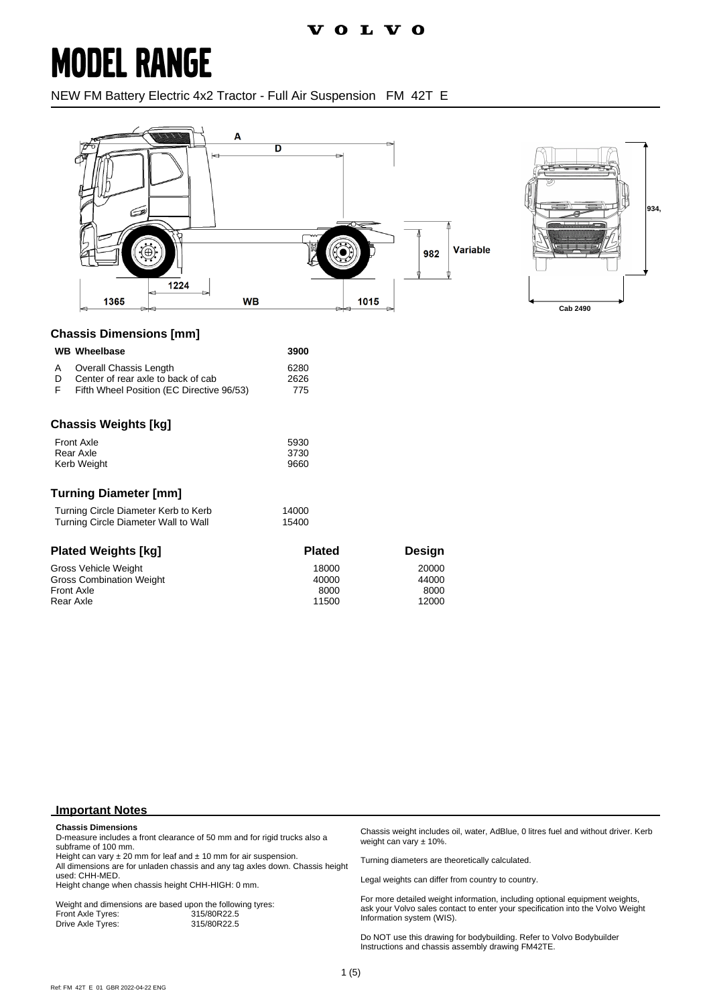## **MODEL RANGE**

NEW FM Battery Electric 4x2 Tractor - Full Air Suspension FM 42T E



#### **Chassis Dimensions [mm]**

|              | <b>WB</b> Wheelbase                       | 3900 |
|--------------|-------------------------------------------|------|
| $\mathsf{A}$ | Overall Chassis Length                    | 6280 |
| Ð            | Center of rear axle to back of cab        | 2626 |
| -F           | Fifth Wheel Position (EC Directive 96/53) | 775  |

#### **Chassis Weights [kg]**

| <b>Front Axle</b> | 5930 |
|-------------------|------|
| Rear Axle         | 3730 |
| Kerb Weight       | 9660 |

#### **Turning Diameter [mm]**

| Turning Circle Diameter Kerb to Kerb | 14000 |
|--------------------------------------|-------|
| Turning Circle Diameter Wall to Wall | 15400 |

| <b>Plated Weights [kg]</b>      | <b>Plated</b> | Desian |
|---------------------------------|---------------|--------|
| Gross Vehicle Weight            | 18000         | 20000  |
| <b>Gross Combination Weight</b> | 40000         | 44000  |
| <b>Front Axle</b>               | 8000          | 8000   |
| Rear Axle                       | 11500         | 12000  |

#### **Important Notes**

#### **Chassis Dimensions**

D-measure includes a front clearance of 50 mm and for rigid trucks also a subframe of 100 mm.

Height can vary  $\pm 20$  mm for leaf and  $\pm 10$  mm for air suspension. All dimensions are for unladen chassis and any tag axles down. Chassis height used: CHH-MED.

Height change when chassis height CHH-HIGH: 0 mm.

Weight and dimensions are based upon the following tyres:<br>Front Axle Tyres: 315/80R22.5 Front Axle Tyres: 315/80R22.5 Drive Axle Tyres:

Chassis weight includes oil, water, AdBlue, 0 litres fuel and without driver. Kerb weight can vary ± 10%.

Turning diameters are theoretically calculated.

Legal weights can differ from country to country.

For more detailed weight information, including optional equipment weights, ask your Volvo sales contact to enter your specification into the Volvo Weight Information system (WIS).

Do NOT use this drawing for bodybuilding. Refer to Volvo Bodybuilder Instructions and chassis assembly drawing FM42TE.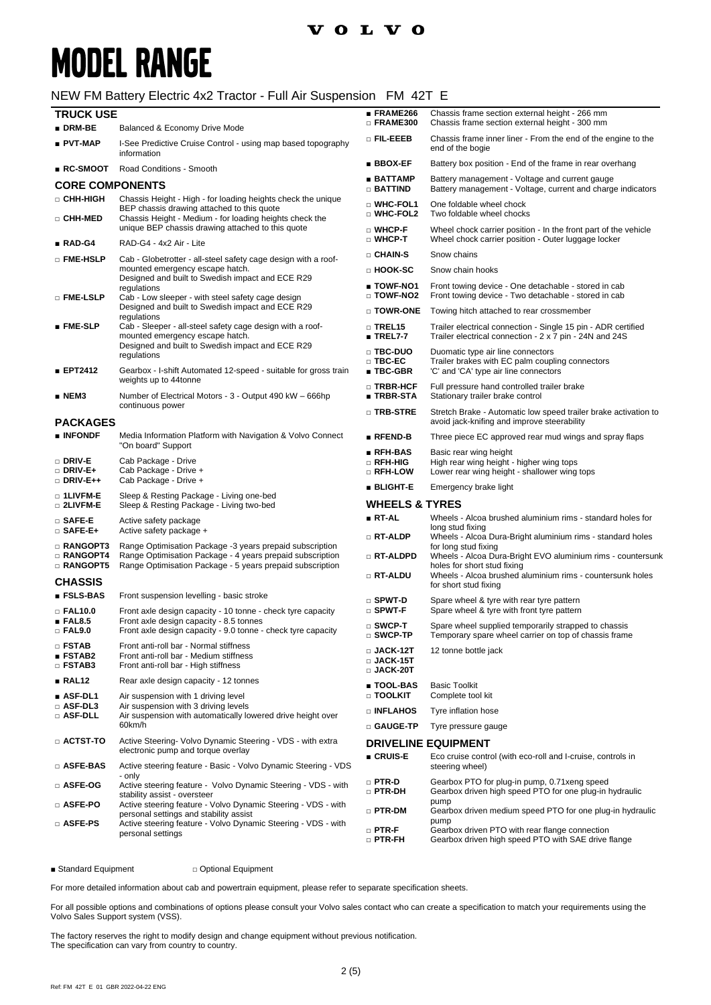### **VOLVO**

## **MODEL RANGE**

#### NEW FM Battery Electric 4x2 Tractor - Full Air Suspension FM 42T E

| <b>TRUCK USE</b>                                  |                                                                                                                                                                       | ■ FRAME266                                                                                              | Chassis frame section external height - 266 mm                                                                                                    |
|---------------------------------------------------|-----------------------------------------------------------------------------------------------------------------------------------------------------------------------|---------------------------------------------------------------------------------------------------------|---------------------------------------------------------------------------------------------------------------------------------------------------|
| $\blacksquare$ DRM-BE                             | Balanced & Economy Drive Mode                                                                                                                                         | □ FRAME300                                                                                              | Chassis frame section external height - 300 mm                                                                                                    |
| ∎ PVT-MAP                                         | I-See Predictive Cruise Control - using map based topography<br>information                                                                                           | o Fil-Eeeb                                                                                              | Chassis frame inner liner - From the end of the engine to the<br>end of the bogie                                                                 |
| $\blacksquare$ RC-SMOOT                           | Road Conditions - Smooth                                                                                                                                              | $BBOX-EF$                                                                                               | Battery box position - End of the frame in rear overhang                                                                                          |
| <b>CORE COMPONENTS</b>                            |                                                                                                                                                                       | ■ BATTAMP<br>$\Box$ battind                                                                             | Battery management - Voltage and current gauge<br>Battery management - Voltage, current and charge indicators                                     |
| □ CHH-HIGH<br>□ CHH-MED                           | Chassis Height - High - for loading heights check the unique<br>BEP chassis drawing attached to this quote<br>Chassis Height - Medium - for loading heights check the | □ WHC-FOL1<br>□ WHC-FOL2                                                                                | One foldable wheel chock<br>Two foldable wheel chocks                                                                                             |
|                                                   | unique BEP chassis drawing attached to this quote                                                                                                                     | $\square$ WHCP-F<br>$\square$ WHCP-T                                                                    | Wheel chock carrier position - In the front part of the vehicle<br>Wheel chock carrier position - Outer luggage locker                            |
| $\blacksquare$ RAD-G4                             | RAD-G4 - 4x2 Air - Lite                                                                                                                                               | □ CHAIN-S                                                                                               | Snow chains                                                                                                                                       |
| $\square$ FME-HSLP                                | Cab - Globetrotter - all-steel safety cage design with a roof-<br>mounted emergency escape hatch.                                                                     | □ HOOK-SC                                                                                               | Snow chain hooks                                                                                                                                  |
|                                                   | Designed and built to Swedish impact and ECE R29                                                                                                                      | ■ TOWF-NO1                                                                                              | Front towing device - One detachable - stored in cab                                                                                              |
| □ FME-LSLP                                        | regulations<br>Cab - Low sleeper - with steel safety cage design                                                                                                      | $\square$ TOWF-NO2                                                                                      | Front towing device - Two detachable - stored in cab                                                                                              |
|                                                   | Designed and built to Swedish impact and ECE R29<br>regulations                                                                                                       | □ TOWR-ONE                                                                                              | Towing hitch attached to rear crossmember                                                                                                         |
| $\blacksquare$ FME-SLP                            | Cab - Sleeper - all-steel safety cage design with a roof-<br>mounted emergency escape hatch.                                                                          | $\Box$ TREL15<br>$\blacksquare$ TREL7-7                                                                 | Trailer electrical connection - Single 15 pin - ADR certified<br>Trailer electrical connection - 2 x 7 pin - 24N and 24S                          |
|                                                   | Designed and built to Swedish impact and ECE R29<br>regulations                                                                                                       | □ TBC-DUO<br>$\square$ TBC-EC                                                                           | Duomatic type air line connectors<br>Trailer brakes with EC palm coupling connectors                                                              |
| ■ EPT2412                                         | Gearbox - I-shift Automated 12-speed - suitable for gross train                                                                                                       | $\blacksquare$ TBC-GBR                                                                                  | 'C' and 'CA' type air line connectors                                                                                                             |
| ∎ NEM3                                            | weights up to 44tonne<br>Number of Electrical Motors - 3 - Output 490 kW - 666hp                                                                                      | □ TRBR-HCF<br>■ TRBR-STA                                                                                | Full pressure hand controlled trailer brake<br>Stationary trailer brake control                                                                   |
| <b>PACKAGES</b>                                   | continuous power                                                                                                                                                      | □ TRB-STRE                                                                                              | Stretch Brake - Automatic low speed trailer brake activation to<br>avoid jack-knifing and improve steerability                                    |
| $\blacksquare$ INFONDF                            | Media Information Platform with Navigation & Volvo Connect                                                                                                            | $RFEND-B$                                                                                               | Three piece EC approved rear mud wings and spray flaps                                                                                            |
| $\square$ driv-e<br>$\square$ Driv-E+             | "On board" Support<br>Cab Package - Drive<br>Cab Package - Drive +                                                                                                    | ■ RFH-BAS<br>$\Box$ RFH-HIG<br>□ RFH-LOW                                                                | Basic rear wing height<br>High rear wing height - higher wing tops<br>Lower rear wing height - shallower wing tops                                |
| □ DRIV-E++                                        | Cab Package - Drive +                                                                                                                                                 | <b>BLIGHT-E</b>                                                                                         | Emergency brake light                                                                                                                             |
| □ 1LIVFM-E<br>□ 2LIVFM-E                          | Sleep & Resting Package - Living one-bed<br>Sleep & Resting Package - Living two-bed                                                                                  | <b>WHEELS &amp; TYRES</b>                                                                               |                                                                                                                                                   |
| $\square$ SAFE-E<br>$\square$ SAFE-E+             | Active safety package<br>Active safety package +                                                                                                                      | ■ RT-AL                                                                                                 | Wheels - Alcoa brushed aluminium rims - standard holes for<br>long stud fixing                                                                    |
| $\square$ RANGOPT3<br><b>RANGOPT4</b>             | Range Optimisation Package -3 years prepaid subscription<br>Range Optimisation Package - 4 years prepaid subscription                                                 | □ RT-ALDP<br>□ RT-ALDPD                                                                                 | Wheels - Alcoa Dura-Bright aluminium rims - standard holes<br>for long stud fixing<br>Wheels - Alcoa Dura-Bright EVO aluminium rims - countersunk |
| $\Box$ RANGOPT5                                   | Range Optimisation Package - 5 years prepaid subscription                                                                                                             | □ RT-ALDU                                                                                               | holes for short stud fixing<br>Wheels - Alcoa brushed aluminium rims - countersunk holes                                                          |
| <b>CHASSIS</b>                                    |                                                                                                                                                                       |                                                                                                         | for short stud fixing                                                                                                                             |
| $\blacksquare$ FSLS-BAS<br>□ FAL10.0              | Front suspension levelling - basic stroke<br>Front axle design capacity - 10 tonne - check tyre capacity                                                              | $\square$ SPWT-D<br>$\square$ SPWT-F                                                                    | Spare wheel & tyre with rear tyre pattern<br>Spare wheel & tyre with front tyre pattern                                                           |
| $\blacksquare$ FAL8.5<br>$\square$ FAL9.0         | Front axle design capacity - 8.5 tonnes<br>Front axle design capacity - 9.0 tonne - check tyre capacity                                                               | $\square$ SWCP-T<br>$\square$ SWCP-TP                                                                   | Spare wheel supplied temporarily strapped to chassis<br>Temporary spare wheel carrier on top of chassis frame                                     |
| $\Box$ FSTAB<br><b>ESTAB2</b><br>$\square$ FSTAB3 | Front anti-roll bar - Normal stiffness<br>Front anti-roll bar - Medium stiffness<br>Front anti-roll bar - High stiffness                                              | $\square$ JACK-12T<br>$\square$ JACK-15T<br>$\square$ JACK-20T                                          | 12 tonne bottle jack                                                                                                                              |
| ∎ RAL12                                           | Rear axle design capacity - 12 tonnes                                                                                                                                 | ■ TOOL-BAS                                                                                              | <b>Basic Toolkit</b>                                                                                                                              |
| $\blacksquare$ ASF-DL1<br>□ ASF-DL3               | Air suspension with 1 driving level<br>Air suspension with 3 driving levels                                                                                           | □ TOOLKIT<br><b>DINFLAHOS</b>                                                                           | Complete tool kit<br>Tyre inflation hose                                                                                                          |
| □ ASF-DLL                                         | Air suspension with automatically lowered drive height over<br>60km/h                                                                                                 | □ GAUGE-TP                                                                                              | Tyre pressure gauge                                                                                                                               |
| $\scriptstyle\Box$ ACTST-TO                       | Active Steering- Volvo Dynamic Steering - VDS - with extra                                                                                                            |                                                                                                         |                                                                                                                                                   |
|                                                   | electronic pump and torque overlay                                                                                                                                    | <b>DRIVELINE EQUIPMENT</b><br>$C$ RUIS-E<br>Eco cruise control (with eco-roll and I-cruise, controls in |                                                                                                                                                   |
| □ ASFE-BAS                                        | Active steering feature - Basic - Volvo Dynamic Steering - VDS<br>- only                                                                                              | $\square$ PTR-D                                                                                         | steering wheel)<br>Gearbox PTO for plug-in pump, 0.71 xeng speed                                                                                  |
| □ ASFE-OG                                         | Active steering feature - Volvo Dynamic Steering - VDS - with<br>stability assist - oversteer                                                                         | $\square$ PTR-DH                                                                                        | Gearbox driven high speed PTO for one plug-in hydraulic<br>pump                                                                                   |
| □ ASFE-PO                                         | Active steering feature - Volvo Dynamic Steering - VDS - with<br>personal settings and stability assist                                                               | $\Box$ PTR-DM                                                                                           | Gearbox driven medium speed PTO for one plug-in hydraulic<br>pump                                                                                 |
| □ ASFE-PS                                         | Active steering feature - Volvo Dynamic Steering - VDS - with<br>personal settings                                                                                    | $\Box$ PTR-F<br>$\square$ PTR-FH                                                                        | Gearbox driven PTO with rear flange connection<br>Gearbox driven high speed PTO with SAE drive flange                                             |

■ Standard Equipment □ Optional Equipment

For more detailed information about cab and powertrain equipment, please refer to separate specification sheets.

For all possible options and combinations of options please consult your Volvo sales contact who can create a specification to match your requirements using the Volvo Sales Support system (VSS).

The factory reserves the right to modify design and change equipment without previous notification. The specification can vary from country to country.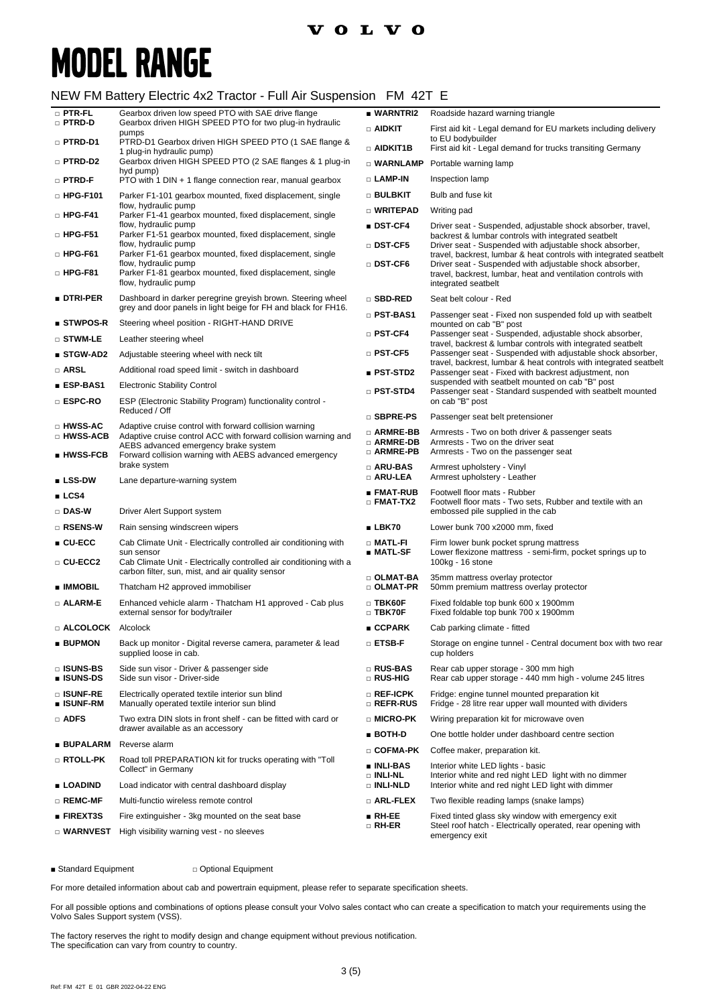### **VOLVO**

## **MODEL RANGE**

#### NEW FM Battery Electric 4x2 Tractor - Full Air Suspension FM 42T E

| $\square$ PTR-FL<br>□ PTRD-D                  | Gearbox driven low speed PTO with SAE drive flange<br>Gearbox driven HIGH SPEED PTO for two plug-in hydraulic                                                    | ■ WARNTRI2<br>$\square$ aidkit                      | Roadside hazard warning triangle<br>First aid kit - Legal demand for EU markets including delivery                                 |
|-----------------------------------------------|------------------------------------------------------------------------------------------------------------------------------------------------------------------|-----------------------------------------------------|------------------------------------------------------------------------------------------------------------------------------------|
| □ PTRD-D1                                     | pumps<br>PTRD-D1 Gearbox driven HIGH SPEED PTO (1 SAE flange &                                                                                                   |                                                     | to EU bodybuilder                                                                                                                  |
| □ PTRD-D2                                     | 1 plug-in hydraulic pump)<br>Gearbox driven HIGH SPEED PTO (2 SAE flanges & 1 plug-in                                                                            | $\Box$ aidkit1b                                     | First aid kit - Legal demand for trucks transiting Germany<br>□ WARNLAMP Portable warning lamp                                     |
| $\square$ PTRD-F                              | hyd pump)<br>PTO with 1 DIN + 1 flange connection rear, manual gearbox                                                                                           | $\square$ LAMP-IN                                   | Inspection lamp                                                                                                                    |
| $\Box$ HPG-F101                               | Parker F1-101 gearbox mounted, fixed displacement, single                                                                                                        | $\square$ bulbkit                                   | Bulb and fuse kit                                                                                                                  |
|                                               | flow, hydraulic pump                                                                                                                                             | □ WRITEPAD                                          | Writing pad                                                                                                                        |
| $\Box$ HPG-F41                                | Parker F1-41 gearbox mounted, fixed displacement, single<br>flow, hydraulic pump                                                                                 | ∎ DST-CF4                                           | Driver seat - Suspended, adjustable shock absorber, travel,                                                                        |
| $\Box$ HPG-F51                                | Parker F1-51 gearbox mounted, fixed displacement, single<br>flow, hydraulic pump                                                                                 | □ DST-CF5                                           | backrest & lumbar controls with integrated seatbelt<br>Driver seat - Suspended with adjustable shock absorber,                     |
| $\Box$ HPG-F61                                | Parker F1-61 gearbox mounted, fixed displacement, single<br>flow, hydraulic pump                                                                                 | □ DST-CF6                                           | travel, backrest, lumbar & heat controls with integrated seatbelt<br>Driver seat - Suspended with adjustable shock absorber,       |
| $\Box$ HPG-F81                                | Parker F1-81 gearbox mounted, fixed displacement, single<br>flow, hydraulic pump                                                                                 |                                                     | travel, backrest, lumbar, heat and ventilation controls with<br>integrated seatbelt                                                |
| ∎ dtri-per                                    | Dashboard in darker peregrine greyish brown. Steering wheel<br>grey and door panels in light beige for FH and black for FH16.                                    | $\square$ SBD-RED                                   | Seat belt colour - Red                                                                                                             |
| $\blacksquare$ STWPOS-R                       | Steering wheel position - RIGHT-HAND DRIVE                                                                                                                       | □ PST-BAS1                                          | Passenger seat - Fixed non suspended fold up with seatbelt<br>mounted on cab "B" post                                              |
| $\square$ stwm-le                             | Leather steering wheel                                                                                                                                           | □ PST-CF4                                           | Passenger seat - Suspended, adjustable shock absorber,                                                                             |
| $\blacksquare$ STGW-AD2                       | Adjustable steering wheel with neck tilt                                                                                                                         | $\square$ PST-CF5                                   | travel, backrest & lumbar controls with integrated seatbelt<br>Passenger seat - Suspended with adjustable shock absorber,          |
| □ ARSL                                        | Additional road speed limit - switch in dashboard                                                                                                                | $\blacksquare$ PST-STD2                             | travel, backrest, lumbar & heat controls with integrated seatbelt<br>Passenger seat - Fixed with backrest adjustment, non          |
| ∎ ESP-BAS1                                    | <b>Electronic Stability Control</b>                                                                                                                              | $\scriptstyle\Box$ PST-STD4                         | suspended with seatbelt mounted on cab "B" post<br>Passenger seat - Standard suspended with seatbelt mounted                       |
| □ ESPC-RO                                     | ESP (Electronic Stability Program) functionality control -                                                                                                       |                                                     | on cab "B" post                                                                                                                    |
|                                               | Reduced / Off                                                                                                                                                    | $\square$ SBPRE-PS                                  | Passenger seat belt pretensioner                                                                                                   |
| □ HWSS-AC<br>□ HWSS-ACB                       | Adaptive cruise control with forward collision warning<br>Adaptive cruise control ACC with forward collision warning and<br>AEBS advanced emergency brake system | □ ARMRE-BB<br>$\scriptstyle\Box$ armre-db           | Armrests - Two on both driver & passenger seats<br>Armrests - Two on the driver seat                                               |
| $\blacksquare$ HWSS-FCB                       | Forward collision warning with AEBS advanced emergency<br>brake system                                                                                           | $\scriptstyle\Box$ armre-pb<br>$\square$ ARU-BAS    | Armrests - Two on the passenger seat<br>Armrest upholstery - Vinyl                                                                 |
| ∎ LSS-DW                                      | Lane departure-warning system                                                                                                                                    | □ ARU-LEA                                           | Armrest upholstery - Leather                                                                                                       |
| $\blacksquare$ LCS4                           |                                                                                                                                                                  | ∎ FMAT-RUB<br>$\scriptstyle\Box$ fmat-tx2           | Footwell floor mats - Rubber<br>Footwell floor mats - Two sets, Rubber and textile with an                                         |
| $\Box$ DAS-W                                  | Driver Alert Support system                                                                                                                                      |                                                     | embossed pile supplied in the cab                                                                                                  |
| □ RSENS-W                                     | Rain sensing windscreen wipers                                                                                                                                   | ∎ LBK70                                             | Lower bunk 700 x2000 mm, fixed                                                                                                     |
| $\blacksquare$ CU-ECC<br>□ CU-ECC2            | Cab Climate Unit - Electrically controlled air conditioning with<br>sun sensor<br>Cab Climate Unit - Electrically controlled air conditioning with a             | $\scriptstyle\Box$ Matl-Fi<br>∎ MATL-SF             | Firm lower bunk pocket sprung mattress<br>Lower flexizone mattress - semi-firm, pocket springs up to<br>100kg - 16 stone           |
| ∎ IMMOBIL                                     | carbon filter, sun, mist, and air quality sensor<br>Thatcham H2 approved immobiliser                                                                             | $\Box$ OLMAT-BA<br>$\square$ OLMAT-PR               | 35mm mattress overlay protector<br>50mm premium mattress overlay protector                                                         |
| □ ALARM-E                                     | Enhanced vehicle alarm - Thatcham H1 approved - Cab plus<br>external sensor for body/trailer                                                                     | $\square$ TBK60F<br>$\Box$ TBK70F                   | Fixed foldable top bunk 600 x 1900mm<br>Fixed foldable top bunk 700 x 1900mm                                                       |
| □ ALCOLOCK Alcolock                           |                                                                                                                                                                  | ∎ CCPARK                                            | Cab parking climate - fitted                                                                                                       |
| ∎ BUPMON                                      | Back up monitor - Digital reverse camera, parameter & lead<br>supplied loose in cab.                                                                             | □ ETSB-F                                            | Storage on engine tunnel - Central document box with two rear<br>cup holders                                                       |
| □ ISUNS-BS<br>∎ ISUNS-DS                      | Side sun visor - Driver & passenger side<br>Side sun visor - Driver-side                                                                                         | □ RUS-BAS<br>□ RUS-HIG                              | Rear cab upper storage - 300 mm high<br>Rear cab upper storage - 440 mm high - volume 245 litres                                   |
| □ ISUNF-RE<br>∎ ISUNF-RM                      | Electrically operated textile interior sun blind<br>Manually operated textile interior sun blind                                                                 | $\square$ Ref-ICPK<br>$\square$ REFR-RUS            | Fridge: engine tunnel mounted preparation kit<br>Fridge - 28 litre rear upper wall mounted with dividers                           |
| $\Box$ ADFS                                   | Two extra DIN slots in front shelf - can be fitted with card or                                                                                                  | □ MICRO-PK                                          | Wiring preparation kit for microwave oven                                                                                          |
| <b>BUPALARM</b> Reverse alarm                 | drawer available as an accessory                                                                                                                                 | $BOTH-D$                                            | One bottle holder under dashboard centre section                                                                                   |
| □ RTOLL-PK                                    | Road toll PREPARATION kit for trucks operating with "Toll                                                                                                        | □ COFMA-PK                                          | Coffee maker, preparation kit.                                                                                                     |
|                                               | Collect" in Germany                                                                                                                                              | ∎ INLI-BAS<br>$\square$ INLI-NL<br><b>DINLI-NLD</b> | Interior white LED lights - basic<br>Interior white and red night LED light with no dimmer                                         |
| ∎ LOADIND<br>$\Box$ REMC-MF                   | Load indicator with central dashboard display<br>Multi-functio wireless remote control                                                                           | $\square$ arl-flex                                  | Interior white and red night LED light with dimmer<br>Two flexible reading lamps (snake lamps)                                     |
|                                               |                                                                                                                                                                  |                                                     |                                                                                                                                    |
| $\blacksquare$ FIREXT3S<br>$\square$ Warnvest | Fire extinguisher - 3kg mounted on the seat base<br>High visibility warning vest - no sleeves                                                                    | $\blacksquare$ RH-EE<br>□ RH-ER                     | Fixed tinted glass sky window with emergency exit<br>Steel roof hatch - Electrically operated, rear opening with<br>emergency exit |

■ Standard Equipment □ Optional Equipment

For more detailed information about cab and powertrain equipment, please refer to separate specification sheets.

For all possible options and combinations of options please consult your Volvo sales contact who can create a specification to match your requirements using the Volvo Sales Support system (VSS).

The factory reserves the right to modify design and change equipment without previous notification. The specification can vary from country to country.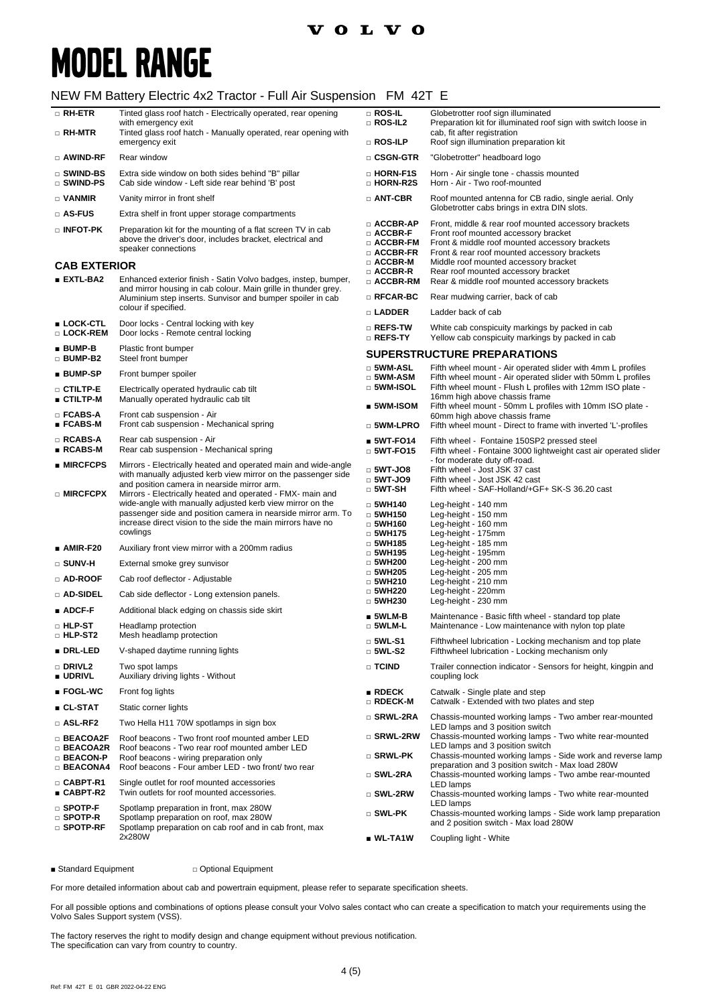## **MODEL RANGE**

#### NEW FM Battery Electric 4x2 Tractor - Full Air Suspension FM 42T E

| □ RH-ETR                                                     | Tinted glass roof hatch - Electrically operated, rear opening<br>with emergency exit                                                                                                                  | $\Box$ ROS-IL<br>□ ROS-IL2                                                        | Globetrotter roof sign illuminated<br>Preparation kit for illuminated roof sign with switch loose in                                                                                           |
|--------------------------------------------------------------|-------------------------------------------------------------------------------------------------------------------------------------------------------------------------------------------------------|-----------------------------------------------------------------------------------|------------------------------------------------------------------------------------------------------------------------------------------------------------------------------------------------|
| □ RH-MTR                                                     | Tinted glass roof hatch - Manually operated, rear opening with<br>emergency exit                                                                                                                      | □ ROS-ILP                                                                         | cab, fit after registration<br>Roof sign illumination preparation kit                                                                                                                          |
| □ AWIND-RF                                                   | Rear window                                                                                                                                                                                           | □ CSGN-GTR                                                                        | "Globetrotter" headboard logo                                                                                                                                                                  |
| □ SWIND-BS<br>$\square$ Swind-PS                             | Extra side window on both sides behind "B" pillar<br>Cab side window - Left side rear behind 'B' post                                                                                                 | □ HORN-F1S<br>□ HORN-R2S                                                          | Horn - Air single tone - chassis mounted<br>Horn - Air - Two roof-mounted                                                                                                                      |
| $\Box$ VANMIR                                                | Vanity mirror in front shelf                                                                                                                                                                          | □ ANT-CBR                                                                         | Roof mounted antenna for CB radio, single aerial. Only                                                                                                                                         |
| $\square$ AS-FUS                                             | Extra shelf in front upper storage compartments                                                                                                                                                       |                                                                                   | Globetrotter cabs brings in extra DIN slots.                                                                                                                                                   |
| $\square$ INFOT-PK                                           | Preparation kit for the mounting of a flat screen TV in cab<br>above the driver's door, includes bracket, electrical and<br>speaker connections                                                       | □ ACCBR-AP<br>□ ACCBR-F<br>$\Box$ ACCBR-FM<br>□ ACCBR-FR                          | Front, middle & rear roof mounted accessory brackets<br>Front roof mounted accessory bracket<br>Front & middle roof mounted accessory brackets<br>Front & rear roof mounted accessory brackets |
| <b>CAB EXTERIOR</b>                                          |                                                                                                                                                                                                       | $\Box$ ACCBR-M<br>□ ACCBR-R                                                       | Middle roof mounted accessory bracket<br>Rear roof mounted accessory bracket                                                                                                                   |
| $\blacksquare$ EXTL-BA2                                      | Enhanced exterior finish - Satin Volvo badges, instep, bumper,<br>and mirror housing in cab colour. Main grille in thunder grey.                                                                      | $\Box$ ACCBR-RM                                                                   | Rear & middle roof mounted accessory brackets                                                                                                                                                  |
|                                                              | Aluminium step inserts. Sunvisor and bumper spoiler in cab<br>colour if specified.                                                                                                                    | $\square$ RFCAR-BC                                                                | Rear mudwing carrier, back of cab                                                                                                                                                              |
| ■ LOCK-CTL                                                   | Door locks - Central locking with key                                                                                                                                                                 | □ LADDER                                                                          | Ladder back of cab                                                                                                                                                                             |
| □ LOCK-REM<br>$BUMP-B$                                       | Door locks - Remote central locking<br>Plastic front bumper                                                                                                                                           | $\square$ Refs-tw<br>□ REFS-TY                                                    | White cab conspicuity markings by packed in cab<br>Yellow cab conspicuity markings by packed in cab                                                                                            |
| $\Box$ BUMP-B2                                               | Steel front bumper                                                                                                                                                                                    |                                                                                   | <b>SUPERSTRUCTURE PREPARATIONS</b>                                                                                                                                                             |
| ■ BUMP-SP                                                    | Front bumper spoiler                                                                                                                                                                                  | $\square$ 5WM-ASL<br>$\square$ 5WM-ASM                                            | Fifth wheel mount - Air operated slider with 4mm L profiles<br>Fifth wheel mount - Air operated slider with 50mm L profiles                                                                    |
| $\square$ ctiltp-e<br>■ CTILTP-M                             | Electrically operated hydraulic cab tilt<br>Manually operated hydraulic cab tilt                                                                                                                      | $\square$ 5WM-ISOL                                                                | Fifth wheel mount - Flush L profiles with 12mm ISO plate -<br>16mm high above chassis frame                                                                                                    |
| $\square$ FCABS-A                                            | Front cab suspension - Air                                                                                                                                                                            | ■ 5WM-ISOM                                                                        | Fifth wheel mount - 50mm L profiles with 10mm ISO plate -<br>60mm high above chassis frame                                                                                                     |
| $\blacksquare$ FCABS-M                                       | Front cab suspension - Mechanical spring                                                                                                                                                              | $\square$ 5WM-LPRO                                                                | Fifth wheel mount - Direct to frame with inverted 'L'-profiles                                                                                                                                 |
| □ RCABS-A<br>■ RCABS-M                                       | Rear cab suspension - Air<br>Rear cab suspension - Mechanical spring                                                                                                                                  | $5WT-FO14$<br>$\Box$ 5WT-FO15                                                     | Fifth wheel - Fontaine 150SP2 pressed steel<br>Fifth wheel - Fontaine 3000 lightweight cast air operated slider                                                                                |
| $\blacksquare$ MIRCFCPS                                      | Mirrors - Electrically heated and operated main and wide-angle                                                                                                                                        | $\Box$ 5WT-JO8                                                                    | - for moderate duty off-road.<br>Fifth wheel - Jost JSK 37 cast                                                                                                                                |
| □ MIRCFCPX                                                   | with manually adjusted kerb view mirror on the passenger side<br>and position camera in nearside mirror arm.<br>Mirrors - Electrically heated and operated - FMX- main and                            | $\Box$ 5WT-JO9<br>$\Box$ 5WT-SH                                                   | Fifth wheel - Jost JSK 42 cast<br>Fifth wheel - SAF-Holland/+GF+ SK-S 36.20 cast                                                                                                               |
|                                                              | wide-angle with manually adjusted kerb view mirror on the<br>passenger side and position camera in nearside mirror arm. To<br>increase direct vision to the side the main mirrors have no<br>cowlings | $\Box$ 5WH140<br>$\Box$ 5WH150<br>$\Box$ 5WH160<br>$\Box$ 5WH175<br>$\Box$ 5WH185 | Leg-height - 140 mm<br>Leg-height - 150 mm<br>Leg-height - 160 mm<br>Leg-height - 175mm<br>Leg-height - 185 mm                                                                                 |
| $\blacksquare$ AMIR-F20                                      | Auxiliary front view mirror with a 200mm radius                                                                                                                                                       | $\Box$ 5WH195                                                                     | Leg-height - 195mm                                                                                                                                                                             |
| $\square$ SUNV-H                                             | External smoke grey sunvisor                                                                                                                                                                          | $\Box$ 5WH200<br>$\Box$ 5WH205                                                    | Leg-height - 200 mm<br>Leg-height - 205 mm                                                                                                                                                     |
| □ AD-ROOF                                                    | Cab roof deflector - Adjustable                                                                                                                                                                       | $\Box$ 5WH210                                                                     | Leg-height - 210 mm                                                                                                                                                                            |
| □ AD-SIDEL                                                   | Cab side deflector - Long extension panels.                                                                                                                                                           | $\Box$ 5WH220<br>$\Box$ 5WH230                                                    | Leg-height - 220mm<br>Leg-height - 230 mm                                                                                                                                                      |
| $\blacksquare$ ADCF-F                                        | Additional black edging on chassis side skirt                                                                                                                                                         | $\blacksquare$ 5WLM-B                                                             | Maintenance - Basic fifth wheel - standard top plate                                                                                                                                           |
| $\Box$ HLP-ST<br><b>D</b> HLP-ST2                            | Headlamp protection<br>Mesh headlamp protection                                                                                                                                                       | $\square$ 5WLM-L<br>$\square$ 5WL-S1                                              | Maintenance - Low maintenance with nylon top plate<br>Fifthwheel lubrication - Locking mechanism and top plate                                                                                 |
| ■ DRL-LED                                                    | V-shaped daytime running lights                                                                                                                                                                       | $\Box$ 5WL-S2                                                                     | Fifthwheel lubrication - Locking mechanism only                                                                                                                                                |
| □ DRIVL2<br><b>UDRIVL</b>                                    | Two spot lamps<br>Auxiliary driving lights - Without                                                                                                                                                  | □ TCIND                                                                           | Trailer connection indicator - Sensors for height, kingpin and<br>coupling lock                                                                                                                |
| $\blacksquare$ FOGL-WC                                       | Front fog lights                                                                                                                                                                                      | RDECK                                                                             | Catwalk - Single plate and step                                                                                                                                                                |
| ∎ CL-STAT                                                    | Static corner lights                                                                                                                                                                                  | □ RDECK-M                                                                         | Catwalk - Extended with two plates and step                                                                                                                                                    |
| $\Box$ ASL-RF2                                               | Two Hella H11 70W spotlamps in sign box                                                                                                                                                               | □ SRWL-2RA                                                                        | Chassis-mounted working lamps - Two amber rear-mounted<br>LED lamps and 3 position switch                                                                                                      |
| □ BEACOA2F<br>□ BEACOA2R                                     | Roof beacons - Two front roof mounted amber LED<br>Roof beacons - Two rear roof mounted amber LED                                                                                                     | □ SRWL-2RW                                                                        | Chassis-mounted working lamps - Two white rear-mounted<br>LED lamps and 3 position switch                                                                                                      |
| □ BEACON-P<br>$\Box$ BEACONA4                                | Roof beacons - wiring preparation only<br>Roof beacons - Four amber LED - two front/ two rear                                                                                                         | $\square$ SRWL-PK<br>□ SWL-2RA                                                    | Chassis-mounted working lamps - Side work and reverse lamp<br>preparation and 3 position switch - Max load 280W<br>Chassis-mounted working lamps - Two ambe rear-mounted                       |
| □ CABPT-R1<br>■ CABPT-R2                                     | Single outlet for roof mounted accessories<br>Twin outlets for roof mounted accessories.                                                                                                              | $\square$ SWL-2RW                                                                 | LED lamps<br>Chassis-mounted working lamps - Two white rear-mounted                                                                                                                            |
| $\square$ SPOTP-F<br>$\square$ Spotp-R<br>$\square$ Spotp-RF | Spotlamp preparation in front, max 280W<br>Spotlamp preparation on roof, max 280W<br>Spotlamp preparation on cab roof and in cab front, max                                                           | $\square$ SWL-PK                                                                  | LED lamps<br>Chassis-mounted working lamps - Side work lamp preparation<br>and 2 position switch - Max load 280W                                                                               |
|                                                              | 2x280W                                                                                                                                                                                                | $\blacksquare$ WL-TA1W                                                            | Coupling light - White                                                                                                                                                                         |

■ Standard Equipment □ Optional Equipment

For more detailed information about cab and powertrain equipment, please refer to separate specification sheets.

For all possible options and combinations of options please consult your Volvo sales contact who can create a specification to match your requirements using the Volvo Sales Support system (VSS).

The factory reserves the right to modify design and change equipment without previous notification. The specification can vary from country to country.